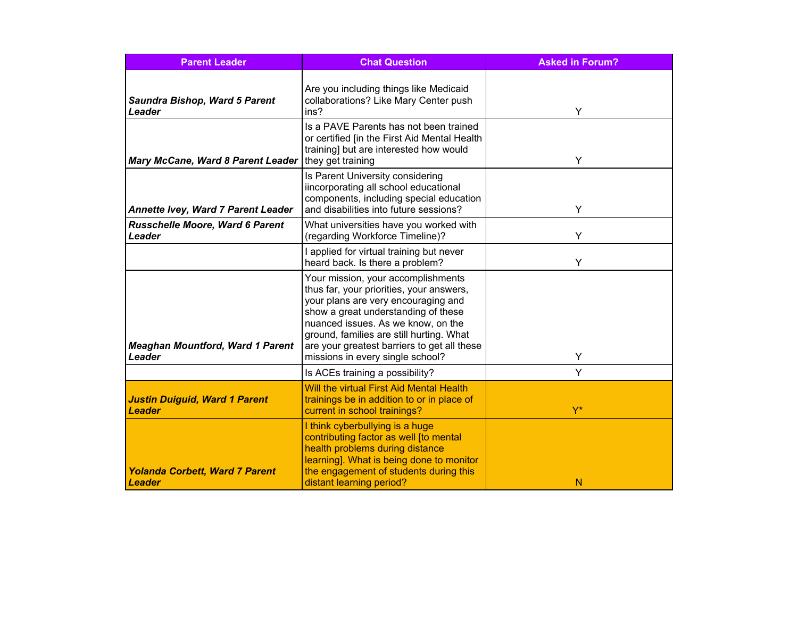| <b>Parent Leader</b>                                   | <b>Chat Question</b>                                                                                                                                                                                                                                                                                                              | <b>Asked in Forum?</b> |
|--------------------------------------------------------|-----------------------------------------------------------------------------------------------------------------------------------------------------------------------------------------------------------------------------------------------------------------------------------------------------------------------------------|------------------------|
| <b>Saundra Bishop, Ward 5 Parent</b><br>Leader         | Are you including things like Medicaid<br>collaborations? Like Mary Center push<br>ins?                                                                                                                                                                                                                                           | Y                      |
| <b>Mary McCane, Ward 8 Parent Leader</b>               | Is a PAVE Parents has not been trained<br>or certified [in the First Aid Mental Health<br>training] but are interested how would<br>they get training                                                                                                                                                                             | Υ                      |
| Annette Ivey, Ward 7 Parent Leader                     | Is Parent University considering<br>iincorporating all school educational<br>components, including special education<br>and disabilities into future sessions?                                                                                                                                                                    | Y                      |
| <b>Russchelle Moore, Ward 6 Parent</b><br>Leader       | What universities have you worked with<br>(regarding Workforce Timeline)?                                                                                                                                                                                                                                                         | Y                      |
|                                                        | I applied for virtual training but never<br>heard back. Is there a problem?                                                                                                                                                                                                                                                       | Y                      |
| <b>Meaghan Mountford, Ward 1 Parent</b><br>Leader      | Your mission, your accomplishments<br>thus far, your priorities, your answers,<br>your plans are very encouraging and<br>show a great understanding of these<br>nuanced issues. As we know, on the<br>ground, families are still hurting. What<br>are your greatest barriers to get all these<br>missions in every single school? | Υ                      |
|                                                        | Is ACEs training a possibility?                                                                                                                                                                                                                                                                                                   | Y                      |
| <b>Justin Duiguid, Ward 1 Parent</b><br><b>Leader</b>  | <b>Will the virtual First Aid Mental Health</b><br>trainings be in addition to or in place of<br>current in school trainings?                                                                                                                                                                                                     | $Y^*$                  |
| <b>Yolanda Corbett, Ward 7 Parent</b><br><b>Leader</b> | I think cyberbullying is a huge<br>contributing factor as well [to mental<br>health problems during distance<br>learning]. What is being done to monitor<br>the engagement of students during this<br>distant learning period?                                                                                                    | N                      |